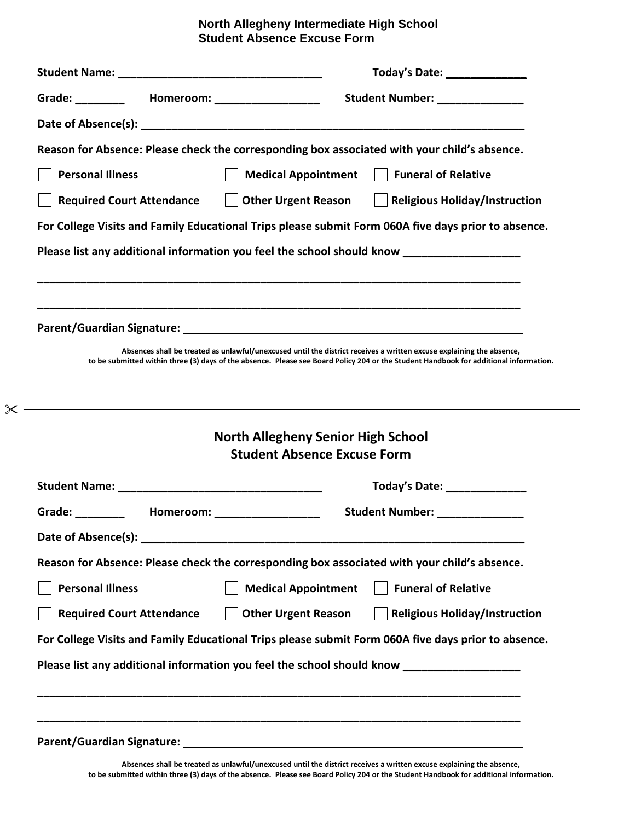# **North Allegheny Intermediate High School Student Absence Excuse Form Student Absence Excuse Form**

|                                                                                                                                                                                                                                |  |                                                                                 | Today's Date: 1988 1999       |                                                                                                                                       |  |
|--------------------------------------------------------------------------------------------------------------------------------------------------------------------------------------------------------------------------------|--|---------------------------------------------------------------------------------|-------------------------------|---------------------------------------------------------------------------------------------------------------------------------------|--|
| Grade: ____________  Homeroom: _____________________                                                                                                                                                                           |  |                                                                                 | Student Number: _____________ |                                                                                                                                       |  |
|                                                                                                                                                                                                                                |  |                                                                                 |                               |                                                                                                                                       |  |
|                                                                                                                                                                                                                                |  |                                                                                 |                               | Reason for Absence: Please check the corresponding box associated with your child's absence.                                          |  |
| <b>Personal Illness</b>                                                                                                                                                                                                        |  | <b>Medical Appointment</b>                                                      |                               | Funeral of Relative                                                                                                                   |  |
| <b>Required Court Attendance</b>                                                                                                                                                                                               |  |                                                                                 |                               | Other Urgent Reason     Religious Holiday/Instruction                                                                                 |  |
|                                                                                                                                                                                                                                |  |                                                                                 |                               | For College Visits and Family Educational Trips please submit Form 060A five days prior to absence.                                   |  |
|                                                                                                                                                                                                                                |  |                                                                                 |                               | Please list any additional information you feel the school should know                                                                |  |
|                                                                                                                                                                                                                                |  |                                                                                 |                               |                                                                                                                                       |  |
|                                                                                                                                                                                                                                |  |                                                                                 |                               |                                                                                                                                       |  |
|                                                                                                                                                                                                                                |  |                                                                                 |                               |                                                                                                                                       |  |
|                                                                                                                                                                                                                                |  |                                                                                 |                               | Absences shall be treated as unlawful/unexcused until the district receives a written excuse explaining the absence,                  |  |
|                                                                                                                                                                                                                                |  |                                                                                 |                               |                                                                                                                                       |  |
|                                                                                                                                                                                                                                |  |                                                                                 |                               | to be submitted within three (3) days of the absence. Please see Board Policy 204 or the Student Handbook for additional information. |  |
|                                                                                                                                                                                                                                |  |                                                                                 |                               |                                                                                                                                       |  |
|                                                                                                                                                                                                                                |  |                                                                                 |                               |                                                                                                                                       |  |
|                                                                                                                                                                                                                                |  | <b>North Allegheny Senior High School</b><br><b>Student Absence Excuse Form</b> |                               |                                                                                                                                       |  |
|                                                                                                                                                                                                                                |  |                                                                                 |                               |                                                                                                                                       |  |
|                                                                                                                                                                                                                                |  |                                                                                 |                               | Today's Date: The Controller Controller                                                                                               |  |
|                                                                                                                                                                                                                                |  | Homeroom: New York Processor                                                    |                               | <b>Student Number:</b> Number:                                                                                                        |  |
|                                                                                                                                                                                                                                |  |                                                                                 |                               |                                                                                                                                       |  |
|                                                                                                                                                                                                                                |  |                                                                                 |                               | Reason for Absence: Please check the corresponding box associated with your child's absence.                                          |  |
| <b>Personal Illness</b>                                                                                                                                                                                                        |  | <b>Medical Appointment</b>                                                      |                               | <b>Funeral of Relative</b>                                                                                                            |  |
| <b>Required Court Attendance</b>                                                                                                                                                                                               |  | <b>Other Urgent Reason</b>                                                      |                               | <b>Religious Holiday/Instruction</b>                                                                                                  |  |
| Grade: The Contract of the Contract of the Contract of the Contract of the Contract of the Contract of the Contract of the Contract of the Contract of the Contract of the Contract of the Contract of the Contract of the Con |  |                                                                                 |                               | For College Visits and Family Educational Trips please submit Form 060A five days prior to absence.                                   |  |
|                                                                                                                                                                                                                                |  |                                                                                 |                               | Please list any additional information you feel the school should know ________________                                               |  |

 $\boldsymbol{\times}$ 

**Absences shall be treated as unlawful/unexcused until the district receives a written excuse explaining the absence, to be submitted within three (3) days of the absence. Please see Board Policy 204 or the Student Handbook for additional information.**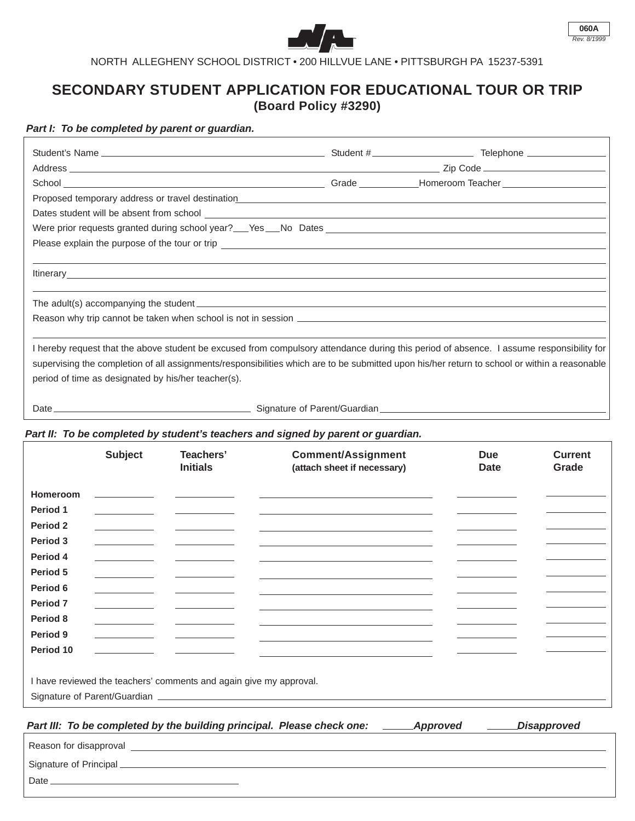



NORTH ALLEGHENY SCHOOL DISTRICT • 200 HILLVUE LANE • PITTSBURGH PA 15237-5391

## **SECONDARY STUDENT APPLICATION FOR EDUCATIONAL TOUR OR TRIP (Board Policy #3290)**

## *Part I: To be completed by parent or guardian.*

| Dates student will be absent from school example and the state of the student will be absent from school example.                                                                                                                                                                                                                                |  |  |  |
|--------------------------------------------------------------------------------------------------------------------------------------------------------------------------------------------------------------------------------------------------------------------------------------------------------------------------------------------------|--|--|--|
|                                                                                                                                                                                                                                                                                                                                                  |  |  |  |
|                                                                                                                                                                                                                                                                                                                                                  |  |  |  |
| Itinerary https://www.archive.com/communications/communications/communications/communications/communications/communications/communications/communications/communications/communications/communications/communications/communic                                                                                                                   |  |  |  |
|                                                                                                                                                                                                                                                                                                                                                  |  |  |  |
|                                                                                                                                                                                                                                                                                                                                                  |  |  |  |
| I hereby request that the above student be excused from compulsory attendance during this period of absence. I assume responsibility for<br>supervising the completion of all assignments/responsibilities which are to be submitted upon his/her return to school or within a reasonable<br>period of time as designated by his/her teacher(s). |  |  |  |
| Date $\_\_$                                                                                                                                                                                                                                                                                                                                      |  |  |  |

## *Part II: To be completed by student's teachers and signed by parent or guardian.*

|                          | <b>Subject</b> | Teachers'<br><b>Initials</b>                                       | <b>Comment/Assignment</b><br>(attach sheet if necessary)                                                      | <b>Due</b><br><b>Date</b> | <b>Current</b><br>Grade |
|--------------------------|----------------|--------------------------------------------------------------------|---------------------------------------------------------------------------------------------------------------|---------------------------|-------------------------|
| Homeroom                 |                |                                                                    |                                                                                                               |                           |                         |
| Period 1                 |                |                                                                    |                                                                                                               |                           |                         |
| Period 2                 |                |                                                                    |                                                                                                               |                           |                         |
| Period 3                 |                |                                                                    |                                                                                                               |                           |                         |
| Period 4                 |                |                                                                    |                                                                                                               |                           |                         |
| Period 5                 |                |                                                                    |                                                                                                               |                           |                         |
| Period 6                 |                |                                                                    |                                                                                                               |                           |                         |
| Period <sub>7</sub>      |                |                                                                    |                                                                                                               |                           |                         |
| Period 8                 |                |                                                                    |                                                                                                               |                           |                         |
| Period 9                 |                |                                                                    |                                                                                                               |                           |                         |
| Period 10                |                |                                                                    |                                                                                                               |                           |                         |
|                          |                | I have reviewed the teachers' comments and again give my approval. |                                                                                                               |                           |                         |
|                          |                |                                                                    | Signature of Parent/Guardian entrance and the contract of the contract of the contract of the contract of the |                           |                         |
|                          |                |                                                                    | Part III: To be completed by the building principal. Please check one:<br><b>Approved</b>                     |                           | <b>Disapproved</b>      |
| Research for disapproval |                |                                                                    |                                                                                                               |                           |                         |

<u> 1980 - Johann Barn, mars ann an t-Amhain Aonaich an t-Aonaich an t-Aonaich ann an t-Aonaich ann an t-Aonaich</u> Reason for disapproval Signature of Principal Date\_